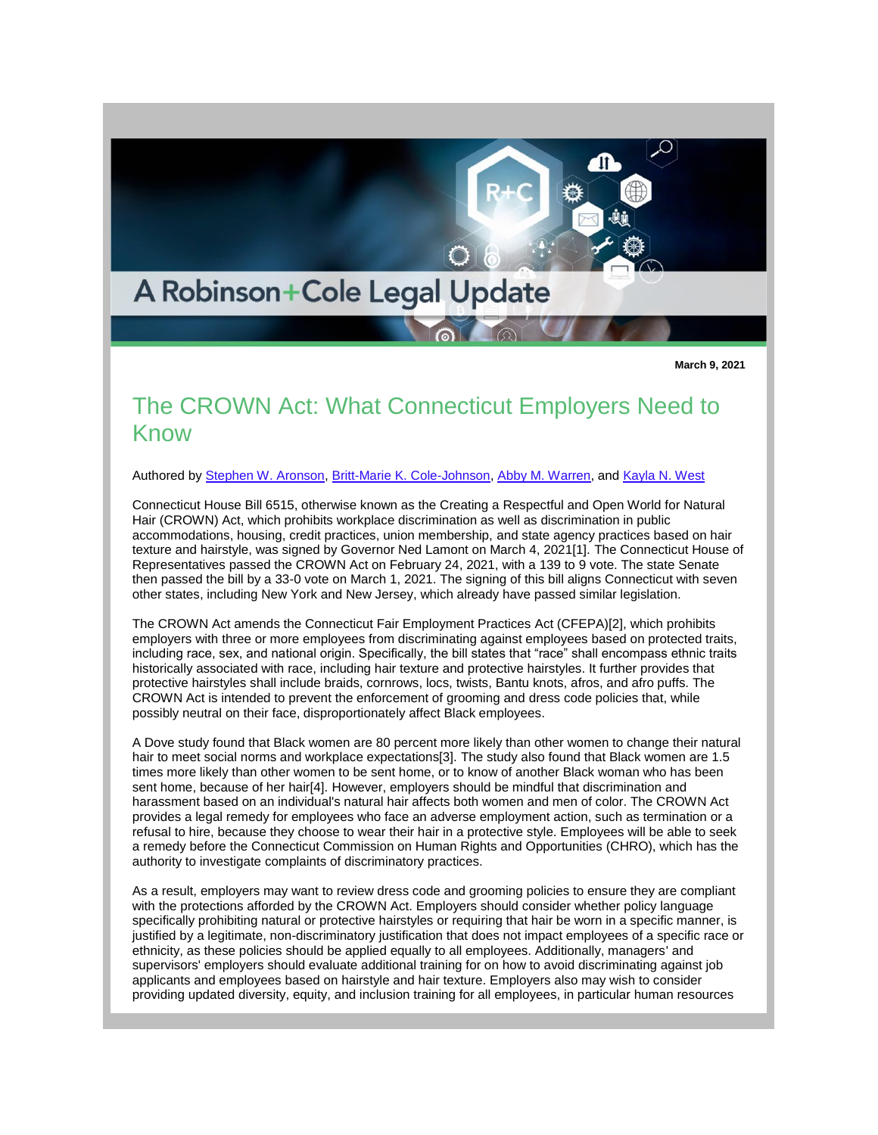

**March 9, 2021**

## The CROWN Act: What Connecticut Employers Need to Know

Authored by [Stephen W. Aronson,](http://www.rc.com/people/StephenWAronson.cfm) [Britt-Marie K. Cole-Johnson,](http://www.rc.com/people/Britt-MarieKCole-Johnson.cfm) [Abby M. Warren,](http://www.rc.com/people/AbbyMWarren.cfm) and [Kayla N. West](http://www.rc.com/people/KaylaNWest.cfm)

Connecticut House Bill 6515, otherwise known as the Creating a Respectful and Open World for Natural Hair (CROWN) Act, which prohibits workplace discrimination as well as discrimination in public accommodations, housing, credit practices, union membership, and state agency practices based on hair texture and hairstyle, was signed by Governor Ned Lamont on March 4, 2021[1]. The Connecticut House of Representatives passed the CROWN Act on February 24, 2021, with a 139 to 9 vote. The state Senate then passed the bill by a 33-0 vote on March 1, 2021. The signing of this bill aligns Connecticut with seven other states, including New York and New Jersey, which already have passed similar legislation.

The CROWN Act amends the Connecticut Fair Employment Practices Act (CFEPA)[2], which prohibits employers with three or more employees from discriminating against employees based on protected traits, including race, sex, and national origin. Specifically, the bill states that "race" shall encompass ethnic traits historically associated with race, including hair texture and protective hairstyles. It further provides that protective hairstyles shall include braids, cornrows, locs, twists, Bantu knots, afros, and afro puffs. The CROWN Act is intended to prevent the enforcement of grooming and dress code policies that, while possibly neutral on their face, disproportionately affect Black employees.

A Dove study found that Black women are 80 percent more likely than other women to change their natural hair to meet social norms and workplace expectations[3]. The study also found that Black women are 1.5 times more likely than other women to be sent home, or to know of another Black woman who has been sent home, because of her hair[4]. However, employers should be mindful that discrimination and harassment based on an individual's natural hair affects both women and men of color. The CROWN Act provides a legal remedy for employees who face an adverse employment action, such as termination or a refusal to hire, because they choose to wear their hair in a protective style. Employees will be able to seek a remedy before the Connecticut Commission on Human Rights and Opportunities (CHRO), which has the authority to investigate complaints of discriminatory practices.

As a result, employers may want to review dress code and grooming policies to ensure they are compliant with the protections afforded by the CROWN Act. Employers should consider whether policy language specifically prohibiting natural or protective hairstyles or requiring that hair be worn in a specific manner, is justified by a legitimate, non-discriminatory justification that does not impact employees of a specific race or ethnicity, as these policies should be applied equally to all employees. Additionally, managers' and supervisors' employers should evaluate additional training for on how to avoid discriminating against job applicants and employees based on hairstyle and hair texture. Employers also may wish to consider providing updated diversity, equity, and inclusion training for all employees, in particular human resources